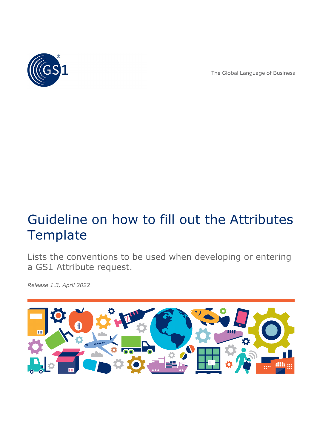

The Global Language of Business

# Guideline on how to fill out the Attributes **Template**

Lists the conventions to be used when developing or entering a GS1 Attribute request.

*Release 1.3, April 2022*

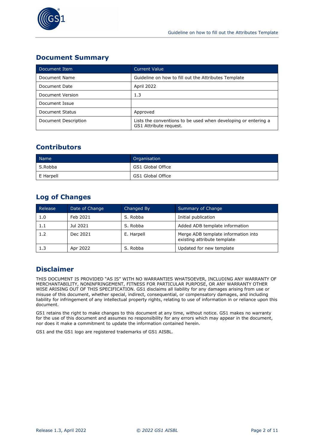

## **Document Summary**

| Document Item        | <b>Current Value</b>                                                                     |
|----------------------|------------------------------------------------------------------------------------------|
| Document Name        | Guideline on how to fill out the Attributes Template                                     |
| Document Date        | April 2022                                                                               |
| Document Version     | 1.3                                                                                      |
| Document Issue       |                                                                                          |
| Document Status      | Approved                                                                                 |
| Document Description | Lists the conventions to be used when developing or entering a<br>GS1 Attribute request. |

## **Contributors**

| Name <sup>1</sup> | Organisation      |
|-------------------|-------------------|
| S.Robba           | GS1 Global Office |
| E Harpell         | GS1 Global Office |

## **Log of Changes**

| Release | Date of Change | Changed By | Summary of Change                                                  |  |
|---------|----------------|------------|--------------------------------------------------------------------|--|
| 1.0     | Feb 2021       | S. Robba   | Initial publication                                                |  |
| 1.1     | Jul 2021       | S. Robba   | Added ADB template information                                     |  |
| 1.2     | Dec 2021       | E. Harpell | Merge ADB template information into<br>existing attribute template |  |
| 1.3     | Apr 2022       | S. Robba   | Updated for new template                                           |  |

## **Disclaimer**

THIS DOCUMENT IS PROVIDED "AS IS" WITH NO WARRANTIES WHATSOEVER, INCLUDING ANY WARRANTY OF MERCHANTABILITY, NONINFRINGEMENT, FITNESS FOR PARTICULAR PURPOSE, OR ANY WARRANTY OTHER WISE ARISING OUT OF THIS SPECIFICATION. GS1 disclaims all liability for any damages arising from use or misuse of this document, whether special, indirect, consequential, or compensatory damages, and including liability for infringement of any intellectual property rights, relating to use of information in or reliance upon this document.

GS1 retains the right to make changes to this document at any time, without notice. GS1 makes no warranty for the use of this document and assumes no responsibility for any errors which may appear in the document, nor does it make a commitment to update the information contained herein.

GS1 and the GS1 logo are registered trademarks of GS1 AISBL.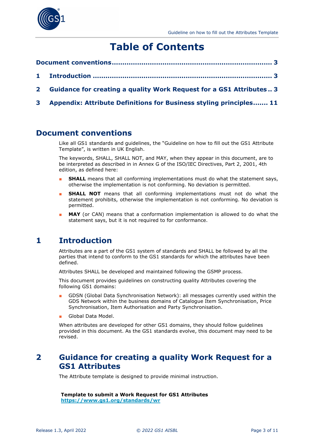

## **Table of Contents**

- **[Document conventions............................................................................](#page-2-0) 3**
- **1 Introduction [.....................................................................................](#page-2-1) 3**
- **2 [Guidance for creating a quality Work Request for a GS1 Attributes](#page-2-2) .. 3**
- **3 [Appendix: Attribute Definitions for Business styling principles.......](#page-10-0) 11**

## <span id="page-2-0"></span>**Document conventions**

Like all GS1 standards and guidelines, the "Guideline on how to fill out the GS1 Attribute Template", is written in UK English.

The keywords, SHALL, SHALL NOT, and MAY, when they appear in this document, are to be interpreted as described in in Annex G of the ISO/IEC Directives, Part 2, 2001, 4th edition, as defined here:

- **SHALL** means that all conforming implementations must do what the statement says, otherwise the implementation is not conforming. No deviation is permitted.
- **SHALL NOT** means that all conforming implementations must not do what the statement prohibits, otherwise the implementation is not conforming. No deviation is permitted.
- **MAY** (or CAN) means that a conformation implementation is allowed to do what the statement says, but it is not required to for conformance.

## <span id="page-2-1"></span>**1 Introduction**

Attributes are a part of the GS1 system of standards and SHALL be followed by all the parties that intend to conform to the GS1 standards for which the attributes have been defined.

Attributes SHALL be developed and maintained following the GSMP process.

This document provides guidelines on constructing quality Attributes covering the following GS1 domains:

- GDSN (Global Data Synchronisation Network): all messages currently used within the GDS Network within the business domains of Catalogue Item Synchronisation, Price Synchronisation, Item Authorisation and Party Synchronisation.
- Global Data Model.

When attributes are developed for other GS1 domains, they should follow guidelines provided in this document. As the GS1 standards evolve, this document may need to be revised.

## <span id="page-2-2"></span>**2 Guidance for creating a quality Work Request for a GS1 Attributes**

The Attribute template is designed to provide minimal instruction.

**Template to submit a Work Request for GS1 Attributes <https://www.gs1.org/standards/wr>**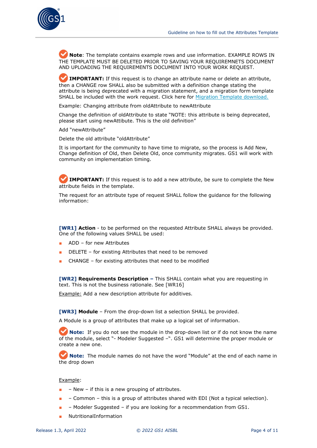

**Mote**: The template contains example rows and use information. EXAMPLE ROWS IN THE TEMPLATE MUST BE DELETED PRIOR TO SAVING YOUR REQUIREMNETS DOCUMENT AND UPLOADING THE REQUIREMENTS DOCUMENT INTO YOUR WORK REQUEST.

**IMPORTANT:** If this request is to change an attribute name or delete an attribute, then a CHANGE row SHALL also be submitted with a definition change stating the attribute is being deprecated with a migration statement, and a migration form template SHALL be included with the work request. Click here for [Migration Template download.](https://www.gs1.org/sites/default/files/docs/gsmp/migration_gmd_template_feb_21.xlsx) 

Example: Changing attribute from oldAttribute to newAttribute

Change the definition of oldAttribute to state "NOTE: this attribute is being deprecated, please start using newAttibute. This is the old definition"

Add "newAttribute"

Delete the old attribute "oldAttribute"

It is important for the community to have time to migrate, so the process is Add New, Change definition of Old, then Delete Old, once community migrates. GS1 will work with community on implementation timing.

**IMPORTANT:** If this request is to add a new attribute, be sure to complete the New attribute fields in the template.

The request for an attribute type of request SHALL follow the guidance for the following information:

**[WR1] Action** - to be performed on the requested Attribute SHALL always be provided. One of the following values SHALL be used:

- ADD for new Attributes
- DELETE for existing Attributes that need to be removed
- CHANGE for existing attributes that need to be modified

**[WR2] Requirements Description –** This SHALL contain what you are requesting in text. This is not the business rationale. See [WR16]

Example: Add a new description attribute for additives.

**[WR3] Module** – From the drop-down list a selection SHALL be provided.

A Module is a group of attributes that make up a logical set of information.

**Note:** If you do not see the module in the drop-down list or if do not know the name of the module, select "- Modeler Suggested –". GS1 will determine the proper module or create a new one.

**Note:** The module names do not have the word "Module" at the end of each name in the drop down

#### Example:

- $-$  New  $-$  if this is a new grouping of attributes.
- – Common this is a group of attributes shared with EDI (Not a typical selection).
- – Modeler Suggested if you are looking for a recommendation from GS1.
- **NutritionalInformation**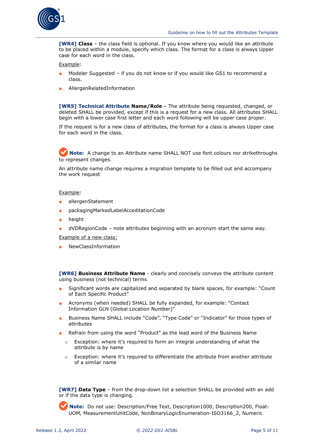

**[WR4] Class** – the class field is optional. If you know where you would like an attribute to be placed within a module, specify which class. The format for a class is always Upper case for each word in the class.

Example:

- Modeler Suggested if you do not know or if you would like GS1 to recommend a class.
- AllergenRelatedInformation

**[WR5] Technical Attribute Name/Role** – The attribute being requested, changed, or deleted SHALL be provided, except if this is a request for a new class. All attributes SHALL begin with a lower case first letter and each word following will be upper case proper.

If the request is for a new class of attributes, the format for a class is always Upper case for each word in the class.

**Note:** A change to an Attribute name SHALL NOT use font colours nor strikethroughs to represent changes.

An attribute name change requires a migration template to be filled out and accompany the work request

#### Example:

- allergenStatement
- packagingMarkedLabelAcceditationCode
- height
- dVDRegionCode note attributes beginning with an acronym start the same way.

Example of a new class:

**NewClassInformation** 

**[WR6] Business Attribute Name** - clearly and concisely conveys the attribute content using business (not technical) terms.

- Significant words are capitalized and separated by blank spaces, for example: "Count of Each Specific Product"
- Acronyms (when needed) SHALL be fully expanded, for example: "Contact Information GLN (Global Location Number)"
- Business Name SHALL include "Code", "Type Code" or "Indicator" for those types of attributes
- Refrain from using the word "Product" as the lead word of the Business Name
	- Exception: where it's required to form an integral understanding of what the attribute is by name
	- Exception: where it's required to differentiate the attribute from another attribute of a similar name

**[WR7] Data Type** – from the drop-down list a selection SHALL be provided with an add or if the data type is changing.

**Note:** Do not use: Description/Free Text, Description1000, Description200, Float-UOM, MeasurementUnitCode, NonBinaryLogicEnumeration-ISO3166\_2, Numeric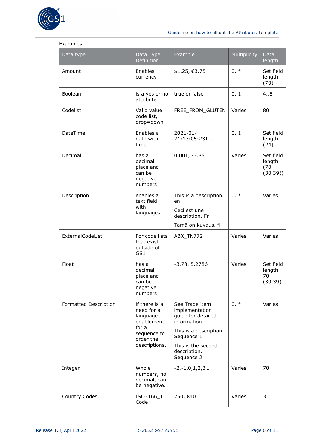

| Data type             | Data Type<br>Definition                                                                                     | Example                                                                                                                                                            | Multiplicity | Data<br>length                         |
|-----------------------|-------------------------------------------------------------------------------------------------------------|--------------------------------------------------------------------------------------------------------------------------------------------------------------------|--------------|----------------------------------------|
| Amount                | Enables<br>currency                                                                                         | \$1.25, €3.75                                                                                                                                                      | $0.7*$       | Set field<br>length<br>(70)            |
| Boolean               | is a yes or no<br>attribute                                                                                 | true or false                                                                                                                                                      | 01           | 45                                     |
| Codelist              | Valid value<br>code list,<br>drop=down                                                                      | FREE_FROM_GLUTEN                                                                                                                                                   | Varies       | 80                                     |
| DateTime              | Enables a<br>date with<br>time                                                                              | $2021 - 01 -$<br>21:13:05:23T                                                                                                                                      | 0.1          | Set field<br>length<br>(24)            |
| Decimal               | has a<br>decimal<br>place and<br>can be<br>negative<br>numbers                                              | $0.001, -3.85$                                                                                                                                                     | Varies       | Set field<br>length<br>(70)<br>(30.39) |
| Description           | enables a<br>text field<br>with<br>languages                                                                | This is a description.<br>en<br>Ceci est une<br>description. Fr<br>Tämä on kuvaus. fi                                                                              | $0*$         | Varies                                 |
| ExternalCodeList      | For code lists<br>that exist<br>outside of<br>GS1                                                           | ABX_TN772                                                                                                                                                          | Varies       | Varies                                 |
| Float                 | has a<br>decimal<br>place and<br>can be<br>negative<br>numbers                                              | $-3.78, 5.2786$                                                                                                                                                    | Varies       | Set field<br>length<br>70<br>(30.39)   |
| Formatted Description | if there is a<br>need for a<br>language<br>enablement<br>for a<br>sequence to<br>order the<br>descriptions. | See Trade item<br>implementation<br>guide for detailed<br>information.<br>This is a description.<br>Sequence 1<br>This is the second<br>description.<br>Sequence 2 | $0.7*$       | Varies                                 |
| Integer               | Whole<br>numbers, no<br>decimal, can<br>be negative.                                                        | $-2, -1, 0, 1, 2, 3$                                                                                                                                               | Varies       | 70                                     |
| Country Codes         | ISO3166_1<br>Code                                                                                           | 250, 840                                                                                                                                                           | Varies       | 3                                      |

#### Examples: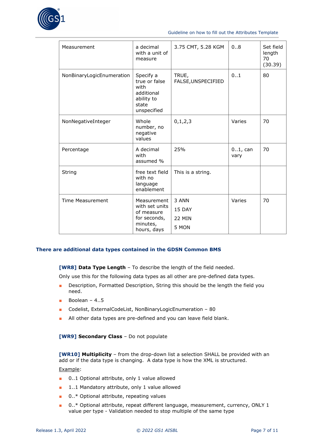

#### Guideline on how to fill out the Attributes Template

| Measurement               | a decimal<br>with a unit of<br>measure                                                 | 3.75 CMT, 5.28 KGM                        | 08                 | Set field<br>length<br>70<br>(30.39) |
|---------------------------|----------------------------------------------------------------------------------------|-------------------------------------------|--------------------|--------------------------------------|
| NonBinaryLogicEnumeration | Specify a<br>true or false<br>with<br>additional<br>ability to<br>state<br>unspecified | TRUE,<br>FALSE, UNSPECIFIED               | 0.1                | 80                                   |
| NonNegativeInteger        | Whole<br>number, no<br>negative<br>values                                              | 0, 1, 2, 3                                | Varies             | 70                                   |
| Percentage                | A decimal<br>with<br>assumed %                                                         | 25%                                       | $01$ , can<br>vary | 70                                   |
| String                    | free text field<br>with no<br>language<br>enablement                                   | This is a string.                         |                    |                                      |
| <b>Time Measurement</b>   | Measurement<br>with set units<br>of measure<br>for seconds,<br>minutes,<br>hours, days | 3 ANN<br>15 DAY<br><b>22 MIN</b><br>5 MON | Varies             | 70                                   |

#### **There are additional data types contained in the GDSN Common BMS**

**[WR8] Data Type Length** – To describe the length of the field needed.

Only use this for the following data types as all other are pre-defined data types.

- Description, Formatted Description, String this should be the length the field you need.
- $\blacksquare$  Boolean 4..5
- Codelist, ExternalCodeList, NonBinaryLogicEnumeration 80
- All other data types are pre-defined and you can leave field blank.

#### **[WR9] Secondary Class** – Do not populate

**[WR10] Multiplicity** – from the drop-down list a selection SHALL be provided with an add or if the data type is changing. A data type is how the XML is structured.

#### Example:

- 0..1 Optional attribute, only 1 value allowed
- 1..1 Mandatory attribute, only 1 value allowed
- 0..\* Optional attribute, repeating values
- 0..\* Optional attribute, repeat different language, measurement, currency, ONLY 1 value per type - Validation needed to stop multiple of the same type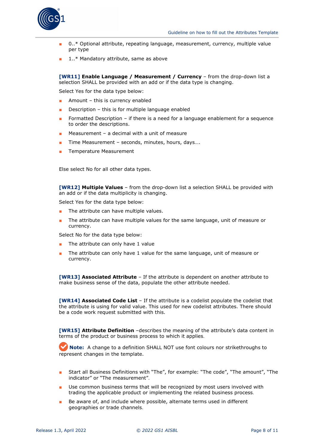

- 0..\* Optional attribute, repeating language, measurement, currency, multiple value per type
- 1.<sup>\*</sup> Mandatory attribute, same as above

**[WR11] Enable Language / Measurement / Currency** – from the drop-down list a selection SHALL be provided with an add or if the data type is changing.

Select Yes for the data type below:

- $\blacksquare$  Amount this is currency enabled
- Description  $-$  this is for multiple language enabled
- Formatted Description if there is a need for a language enablement for a sequence to order the descriptions.
- Measurement a decimal with a unit of measure
- Time Measurement seconds, minutes, hours, days....
- Temperature Measurement

Else select No for all other data types.

**[WR12] Multiple Values** – from the drop-down list a selection SHALL be provided with an add or if the data multiplicity is changing.

Select Yes for the data type below:

- The attribute can have multiple values.
- The attribute can have multiple values for the same language, unit of measure or currency.

Select No for the data type below:

- The attribute can only have 1 value
- The attribute can only have 1 value for the same language, unit of measure or currency.

**[WR13] Associated Attribute** – If the attribute is dependent on another attribute to make business sense of the data, populate the other attribute needed.

**[WR14] Associated Code List** – If the attribute is a codelist populate the codelist that the attribute is using for valid value. This used for new codelist attributes. There should be a code work request submitted with this.

**[WR15] Attribute Definition** –describes the meaning of the attribute's data content in terms of the product or business process to which it applies.

**Note:** A change to a definition SHALL NOT use font colours nor strikethroughs to represent changes in the template.

- Start all Business Definitions with "The", for example: "The code", "The amount", "The indicator" or "The measurement".
- Use common business terms that will be recognized by most users involved with trading the applicable product or implementing the related business process.
- Be aware of, and include where possible, alternate terms used in different geographies or trade channels.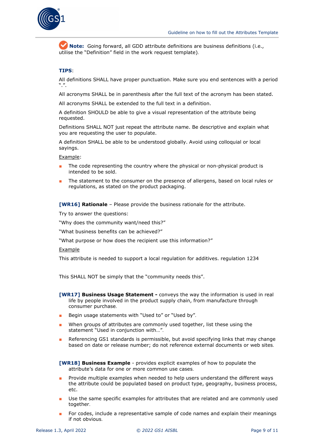

**Note:** Going forward, all GDD attribute definitions are business definitions (i.e., utilise the "Definition" field in the work request template).

#### **TIPS**:

All definitions SHALL have proper punctuation. Make sure you end sentences with a period  $"''$ .

All acronyms SHALL be in parenthesis after the full text of the acronym has been stated.

All acronyms SHALL be extended to the full text in a definition.

A definition SHOULD be able to give a visual representation of the attribute being requested.

Definitions SHALL NOT just repeat the attribute name. Be descriptive and explain what you are requesting the user to populate.

A definition SHALL be able to be understood globally. Avoid using colloquial or local sayings.

Example:

- The code representing the country where the physical or non-physical product is intended to be sold.
- The statement to the consumer on the presence of allergens, based on local rules or regulations, as stated on the product packaging.

**[WR16] Rationale** – Please provide the business rationale for the attribute.

Try to answer the questions:

"Why does the community want/need this?"

"What business benefits can be achieved?"

"What purpose or how does the recipient use this information?"

#### Example

This attribute is needed to support a local regulation for additives. regulation 1234

This SHALL NOT be simply that the "community needs this".

- **[WR17] Business Usage Statement -** conveys the way the information is used in real life by people involved in the product supply chain, from manufacture through consumer purchase.
- Begin usage statements with "Used to" or "Used by".
- When groups of attributes are commonly used together, list these using the statement "Used in conjunction with…".
- Referencing GS1 standards is permissible, but avoid specifying links that may change based on date or release number; do not reference external documents or web sites.

**[WR18] Business Example** - provides explicit examples of how to populate the attribute's data for one or more common use cases.

- Provide multiple examples when needed to help users understand the different ways the attribute could be populated based on product type, geography, business process, etc.
- Use the same specific examples for attributes that are related and are commonly used together.
- For codes, include a representative sample of code names and explain their meanings if not obvious.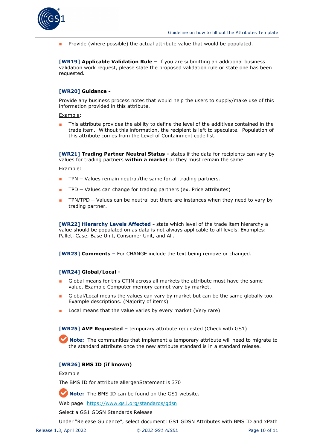

■ Provide (where possible) the actual attribute value that would be populated.

**[WR19] Applicable Validation Rule –** If you are submitting an additional business validation work request, please state the proposed validation rule or state one has been requested**.** 

#### **[WR20] Guidance -**

Provide any business process notes that would help the users to supply/make use of this information provided in this attribute.

Example:

■ This attribute provides the ability to define the level of the additives contained in the trade item. Without this information, the recipient is left to speculate. Population of this attribute comes from the Level of Containment code list.

**[WR21] Trading Partner Neutral Status -** states if the data for recipients can vary by values for trading partners **within a market** or they must remain the same.

Example:

- $TPN Values remain neutral/the same for all trading partners.$
- $TPD Values can change for trading partners (ex. Price attributes)$
- TPN/TPD Values can be neutral but there are instances when they need to vary by trading partner.

**[WR22] Hierarchy Levels Affected -** state which level of the trade item hierarchy a value should be populated on as data is not always applicable to all levels. Examples: Pallet, Case, Base Unit, Consumer Unit, and All.

**[WR23] Comments –** For CHANGE include the text being remove or changed.

#### **[WR24] Global/Local -**

- Global means for this GTIN across all markets the attribute must have the same value. Example Computer memory cannot vary by market.
- Global/Local means the values can vary by market but can be the same globally too. Example descriptions. (Majority of items)
- Local means that the value varies by every market (Very rare)

**[WR25] AVP Requested –** temporary attribute requested (Check with GS1)

**Note:** The communities that implement a temporary attribute will need to migrate to the standard attribute once the new attribute standard is in a standard release.

#### **[WR26] BMS ID (if known)**

#### **Example**

The BMS ID for attribute allergenStatement is 370

**Note:** The BMS ID can be found on the GS1 website.

Web page:<https://www.gs1.org/standards/gdsn>

Select a GS1 GDSN Standards Release

Under "Release Guidance", select document: GS1 GDSN Attributes with BMS ID and xPath